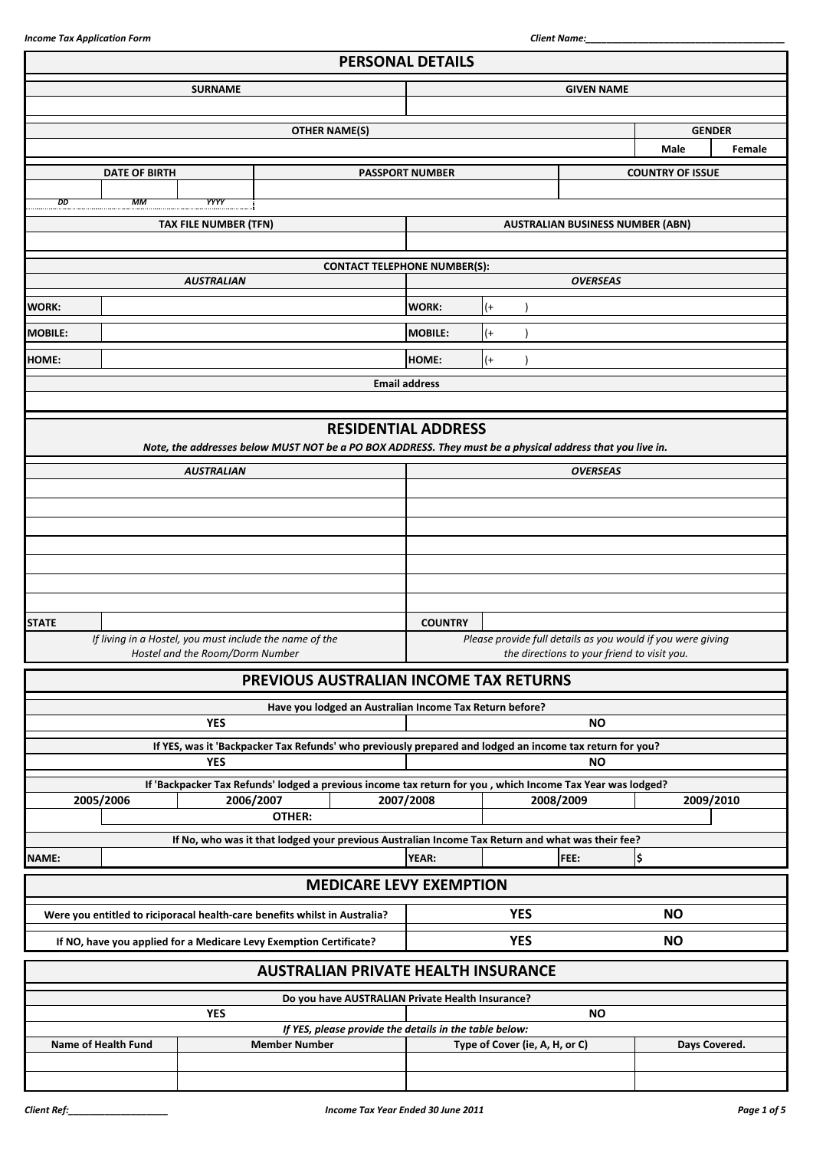|                |                                                                            |                                 |                      | <b>PERSONAL DETAILS</b>                                 |                        |                                |                                                                                                            |                         |        |
|----------------|----------------------------------------------------------------------------|---------------------------------|----------------------|---------------------------------------------------------|------------------------|--------------------------------|------------------------------------------------------------------------------------------------------------|-------------------------|--------|
|                |                                                                            | <b>SURNAME</b>                  |                      |                                                         | <b>GIVEN NAME</b>      |                                |                                                                                                            |                         |        |
|                |                                                                            |                                 |                      |                                                         |                        |                                |                                                                                                            |                         |        |
|                |                                                                            |                                 |                      | <b>OTHER NAME(S)</b>                                    |                        |                                |                                                                                                            | <b>GENDER</b>           |        |
|                |                                                                            |                                 |                      |                                                         |                        |                                |                                                                                                            | Male                    | Female |
|                | <b>DATE OF BIRTH</b>                                                       |                                 |                      |                                                         | <b>PASSPORT NUMBER</b> |                                |                                                                                                            | <b>COUNTRY OF ISSUE</b> |        |
|                |                                                                            |                                 |                      |                                                         |                        |                                |                                                                                                            |                         |        |
| DD             | MМ                                                                         | YYYY                            |                      |                                                         |                        |                                |                                                                                                            |                         |        |
|                |                                                                            | TAX FILE NUMBER (TFN)           |                      |                                                         |                        |                                | <b>AUSTRALIAN BUSINESS NUMBER (ABN)</b>                                                                    |                         |        |
|                |                                                                            |                                 |                      |                                                         |                        |                                |                                                                                                            |                         |        |
|                |                                                                            | <b>AUSTRALIAN</b>               |                      | <b>CONTACT TELEPHONE NUMBER(S):</b>                     |                        |                                | <b>OVERSEAS</b>                                                                                            |                         |        |
| <b>WORK:</b>   |                                                                            |                                 |                      |                                                         | <b>WORK:</b>           | $^{(+)}$                       |                                                                                                            |                         |        |
|                |                                                                            |                                 |                      |                                                         |                        |                                |                                                                                                            |                         |        |
| <b>MOBILE:</b> |                                                                            |                                 |                      |                                                         | <b>MOBILE:</b>         | $(+)$                          |                                                                                                            |                         |        |
| <b>HOME:</b>   |                                                                            |                                 |                      |                                                         | HOME:                  | $^{(+)}$                       |                                                                                                            |                         |        |
|                |                                                                            |                                 |                      | <b>Email address</b>                                    |                        |                                |                                                                                                            |                         |        |
|                |                                                                            |                                 |                      |                                                         |                        |                                |                                                                                                            |                         |        |
|                |                                                                            |                                 |                      | <b>RESIDENTIAL ADDRESS</b>                              |                        |                                |                                                                                                            |                         |        |
|                |                                                                            |                                 |                      |                                                         |                        |                                | Note, the addresses below MUST NOT be a PO BOX ADDRESS. They must be a physical address that you live in.  |                         |        |
|                |                                                                            | <b>AUSTRALIAN</b>               |                      |                                                         |                        |                                | <b>OVERSEAS</b>                                                                                            |                         |        |
|                |                                                                            |                                 |                      |                                                         |                        |                                |                                                                                                            |                         |        |
|                |                                                                            |                                 |                      |                                                         |                        |                                |                                                                                                            |                         |        |
|                |                                                                            |                                 |                      |                                                         |                        |                                |                                                                                                            |                         |        |
|                |                                                                            |                                 |                      |                                                         |                        |                                |                                                                                                            |                         |        |
|                |                                                                            |                                 |                      |                                                         |                        |                                |                                                                                                            |                         |        |
|                |                                                                            |                                 |                      |                                                         |                        |                                |                                                                                                            |                         |        |
| <b>STATE</b>   |                                                                            |                                 |                      |                                                         | <b>COUNTRY</b>         |                                |                                                                                                            |                         |        |
|                | If living in a Hostel, you must include the name of the                    |                                 |                      |                                                         |                        |                                | Please provide full details as you would if you were giving                                                |                         |        |
|                |                                                                            | Hostel and the Room/Dorm Number |                      |                                                         |                        |                                | the directions to your friend to visit you.                                                                |                         |        |
|                |                                                                            |                                 |                      | PREVIOUS AUSTRALIAN INCOME TAX RETURNS                  |                        |                                |                                                                                                            |                         |        |
|                |                                                                            |                                 |                      | Have you lodged an Australian Income Tax Return before? |                        |                                |                                                                                                            |                         |        |
|                |                                                                            | <b>YES</b>                      |                      |                                                         |                        |                                | <b>NO</b>                                                                                                  |                         |        |
|                |                                                                            |                                 |                      |                                                         |                        |                                | If YES, was it 'Backpacker Tax Refunds' who previously prepared and lodged an income tax return for you?   |                         |        |
|                |                                                                            | <b>YES</b>                      |                      |                                                         |                        |                                | <b>NO</b>                                                                                                  |                         |        |
|                |                                                                            |                                 |                      |                                                         |                        |                                | If 'Backpacker Tax Refunds' lodged a previous income tax return for you, which Income Tax Year was lodged? |                         |        |
|                | 2005/2006                                                                  | 2006/2007                       | OTHER:               |                                                         | 2007/2008              |                                | 2008/2009                                                                                                  | 2009/2010               |        |
|                |                                                                            |                                 |                      |                                                         |                        |                                | If No, who was it that lodged your previous Australian Income Tax Return and what was their fee?           |                         |        |
| NAME:          |                                                                            |                                 |                      |                                                         | <b>YEAR:</b>           |                                | FEE:                                                                                                       | \$                      |        |
|                |                                                                            |                                 |                      |                                                         |                        |                                |                                                                                                            |                         |        |
|                |                                                                            |                                 |                      | <b>MEDICARE LEVY EXEMPTION</b>                          |                        |                                |                                                                                                            |                         |        |
|                | Were you entitled to riciporacal health-care benefits whilst in Australia? |                                 |                      |                                                         |                        | <b>YES</b>                     |                                                                                                            | <b>NO</b>               |        |
|                | If NO, have you applied for a Medicare Levy Exemption Certificate?         |                                 |                      |                                                         |                        | <b>YES</b>                     |                                                                                                            | <b>NO</b>               |        |
|                |                                                                            |                                 |                      | <b>AUSTRALIAN PRIVATE HEALTH INSURANCE</b>              |                        |                                |                                                                                                            |                         |        |
|                |                                                                            |                                 |                      | Do you have AUSTRALIAN Private Health Insurance?        |                        |                                |                                                                                                            |                         |        |
|                |                                                                            | <b>YES</b>                      |                      |                                                         |                        |                                | <b>NO</b>                                                                                                  |                         |        |
|                |                                                                            |                                 |                      | If YES, please provide the details in the table below:  |                        |                                |                                                                                                            |                         |        |
|                | Name of Health Fund                                                        |                                 | <b>Member Number</b> |                                                         |                        | Type of Cover (ie, A, H, or C) |                                                                                                            | Days Covered.           |        |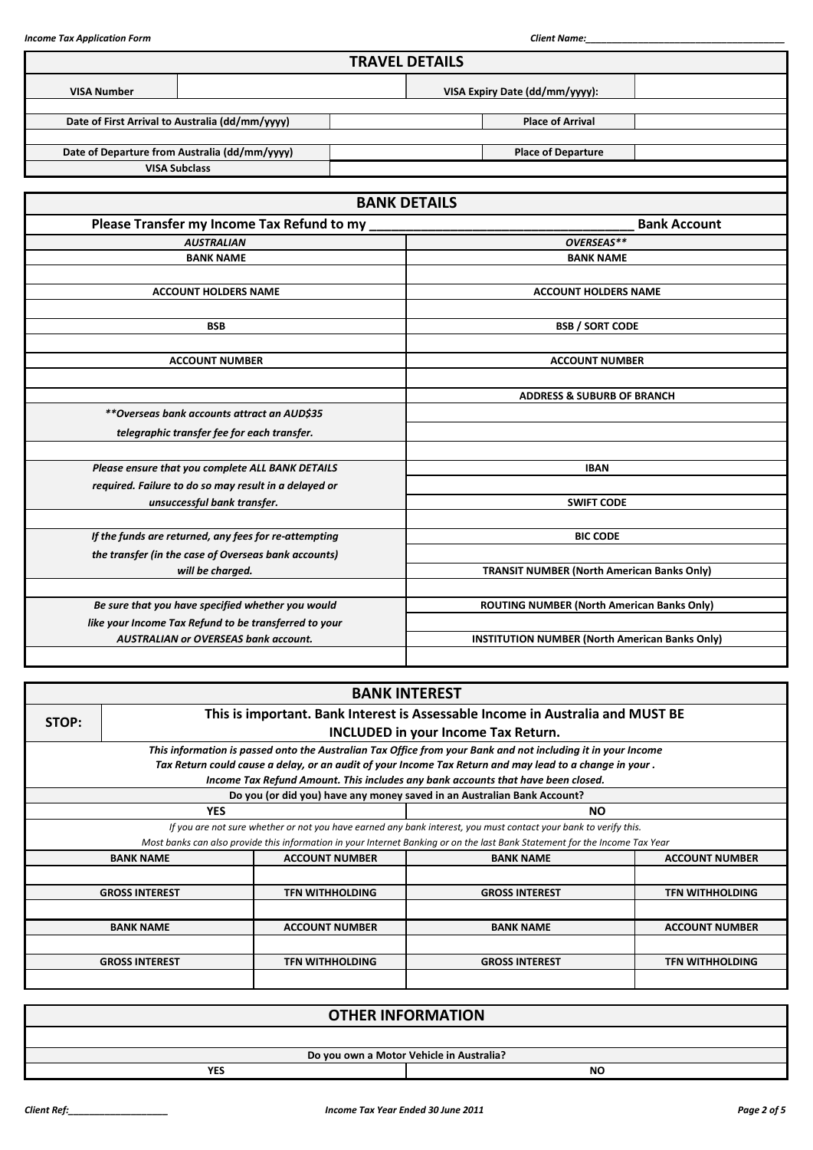|                    |                                                       | <b>TRAVEL DETAILS</b>                 |                                                       |                     |  |  |
|--------------------|-------------------------------------------------------|---------------------------------------|-------------------------------------------------------|---------------------|--|--|
| <b>VISA Number</b> |                                                       |                                       | VISA Expiry Date (dd/mm/yyyy):                        |                     |  |  |
|                    | Date of First Arrival to Australia (dd/mm/yyyy)       |                                       | <b>Place of Arrival</b>                               |                     |  |  |
|                    | Date of Departure from Australia (dd/mm/yyyy)         |                                       | <b>Place of Departure</b>                             |                     |  |  |
|                    | <b>VISA Subclass</b>                                  |                                       |                                                       |                     |  |  |
|                    |                                                       | <b>BANK DETAILS</b>                   |                                                       |                     |  |  |
|                    | Please Transfer my Income Tax Refund to my            |                                       |                                                       | <b>Bank Account</b> |  |  |
|                    | <b>AUSTRALIAN</b>                                     |                                       | OVERSEAS**                                            |                     |  |  |
|                    | <b>BANK NAME</b>                                      |                                       | <b>BANK NAME</b>                                      |                     |  |  |
|                    |                                                       |                                       |                                                       |                     |  |  |
|                    | <b>ACCOUNT HOLDERS NAME</b>                           |                                       | <b>ACCOUNT HOLDERS NAME</b>                           |                     |  |  |
|                    |                                                       |                                       |                                                       |                     |  |  |
|                    | <b>BSB</b>                                            |                                       | <b>BSB / SORT CODE</b>                                |                     |  |  |
|                    |                                                       |                                       |                                                       |                     |  |  |
|                    | <b>ACCOUNT NUMBER</b>                                 |                                       | <b>ACCOUNT NUMBER</b>                                 |                     |  |  |
|                    |                                                       |                                       |                                                       |                     |  |  |
|                    |                                                       | <b>ADDRESS &amp; SUBURB OF BRANCH</b> |                                                       |                     |  |  |
|                    | **Overseas bank accounts attract an AUD\$35           |                                       |                                                       |                     |  |  |
|                    | telegraphic transfer fee for each transfer.           |                                       |                                                       |                     |  |  |
|                    | Please ensure that you complete ALL BANK DETAILS      |                                       | <b>IBAN</b>                                           |                     |  |  |
|                    | required. Failure to do so may result in a delayed or |                                       |                                                       |                     |  |  |
|                    | unsuccessful bank transfer.                           | <b>SWIFT CODE</b>                     |                                                       |                     |  |  |
|                    |                                                       |                                       |                                                       |                     |  |  |
|                    | If the funds are returned, any fees for re-attempting |                                       | <b>BIC CODE</b>                                       |                     |  |  |
|                    | the transfer (in the case of Overseas bank accounts)  |                                       |                                                       |                     |  |  |
|                    | will be charged.                                      |                                       | <b>TRANSIT NUMBER (North American Banks Only)</b>     |                     |  |  |
|                    |                                                       |                                       |                                                       |                     |  |  |
|                    | Be sure that you have specified whether you would     |                                       | ROUTING NUMBER (North American Banks Only)            |                     |  |  |
|                    | like your Income Tax Refund to be transferred to your |                                       |                                                       |                     |  |  |
|                    | <b>AUSTRALIAN or OVERSEAS bank account.</b>           |                                       | <b>INSTITUTION NUMBER (North American Banks Only)</b> |                     |  |  |
|                    |                                                       |                                       |                                                       |                     |  |  |

|       |                                                                                        |                        | <b>BANK INTEREST</b>                                                                                                        |                        |  |  |  |  |
|-------|----------------------------------------------------------------------------------------|------------------------|-----------------------------------------------------------------------------------------------------------------------------|------------------------|--|--|--|--|
| STOP: | This is important. Bank Interest is Assessable Income in Australia and MUST BE         |                        |                                                                                                                             |                        |  |  |  |  |
|       |                                                                                        |                        | <b>INCLUDED in your Income Tax Return.</b>                                                                                  |                        |  |  |  |  |
|       |                                                                                        |                        | This information is passed onto the Australian Tax Office from your Bank and not including it in your Income                |                        |  |  |  |  |
|       |                                                                                        |                        | Tax Return could cause a delay, or an audit of your Income Tax Return and may lead to a change in your .                    |                        |  |  |  |  |
|       |                                                                                        |                        | Income Tax Refund Amount. This includes any bank accounts that have been closed.                                            |                        |  |  |  |  |
|       |                                                                                        |                        | Do you (or did you) have any money saved in an Australian Bank Account?                                                     |                        |  |  |  |  |
|       | <b>YES</b>                                                                             |                        | <b>NO</b>                                                                                                                   |                        |  |  |  |  |
|       |                                                                                        |                        | If you are not sure whether or not you have earned any bank interest, you must contact your bank to verify this.            |                        |  |  |  |  |
|       |                                                                                        |                        | Most banks can also provide this information in your Internet Banking or on the last Bank Statement for the Income Tax Year |                        |  |  |  |  |
|       | <b>BANK NAME</b>                                                                       | <b>ACCOUNT NUMBER</b>  | <b>BANK NAME</b>                                                                                                            | <b>ACCOUNT NUMBER</b>  |  |  |  |  |
|       |                                                                                        |                        |                                                                                                                             |                        |  |  |  |  |
|       | <b>GROSS INTEREST</b>                                                                  | <b>TFN WITHHOLDING</b> | <b>GROSS INTEREST</b>                                                                                                       | <b>TFN WITHHOLDING</b> |  |  |  |  |
|       |                                                                                        |                        |                                                                                                                             |                        |  |  |  |  |
|       | <b>ACCOUNT NUMBER</b><br><b>ACCOUNT NUMBER</b><br><b>BANK NAME</b><br><b>BANK NAME</b> |                        |                                                                                                                             |                        |  |  |  |  |
|       |                                                                                        |                        |                                                                                                                             |                        |  |  |  |  |
|       | <b>GROSS INTEREST</b>                                                                  | <b>TFN WITHHOLDING</b> | <b>GROSS INTEREST</b>                                                                                                       | <b>TFN WITHHOLDING</b> |  |  |  |  |
|       |                                                                                        |                        |                                                                                                                             |                        |  |  |  |  |

| <b>OTHER INFORMATION</b> |                                          |  |  |  |  |
|--------------------------|------------------------------------------|--|--|--|--|
|                          |                                          |  |  |  |  |
|                          | Do you own a Motor Vehicle in Australia? |  |  |  |  |
| <b>YES</b>               | <b>NO</b>                                |  |  |  |  |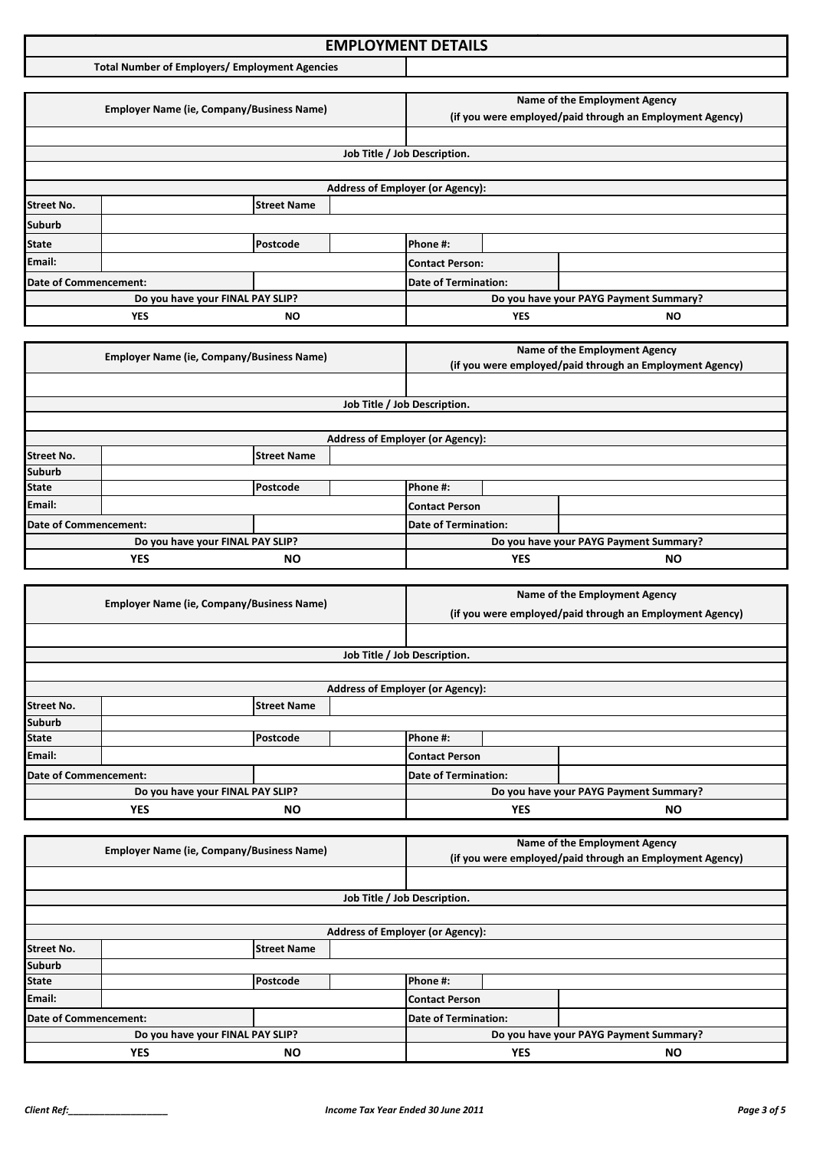### **Income Tax Application Format: EMPLOYMENT DETAILS**

**Total Number of Employers/ Employment Agencies**

|                       |                                                                                                                         |                                  |                              |                                         |                                                          | Name of the Employment Agency          |  |
|-----------------------|-------------------------------------------------------------------------------------------------------------------------|----------------------------------|------------------------------|-----------------------------------------|----------------------------------------------------------|----------------------------------------|--|
|                       | <b>Employer Name (ie, Company/Business Name)</b>                                                                        |                                  |                              |                                         | (if you were employed/paid through an Employment Agency) |                                        |  |
|                       |                                                                                                                         |                                  |                              |                                         |                                                          |                                        |  |
|                       |                                                                                                                         |                                  |                              |                                         |                                                          |                                        |  |
|                       |                                                                                                                         |                                  | Job Title / Job Description. |                                         |                                                          |                                        |  |
|                       |                                                                                                                         |                                  |                              |                                         |                                                          |                                        |  |
|                       |                                                                                                                         |                                  |                              | <b>Address of Employer (or Agency):</b> |                                                          |                                        |  |
| <b>Street No.</b>     |                                                                                                                         | <b>Street Name</b>               |                              |                                         |                                                          |                                        |  |
| <b>Suburb</b>         |                                                                                                                         |                                  |                              |                                         |                                                          |                                        |  |
| <b>State</b>          |                                                                                                                         | Postcode                         |                              | Phone #:                                |                                                          |                                        |  |
| Email:                |                                                                                                                         |                                  |                              | <b>Contact Person:</b>                  |                                                          |                                        |  |
| Date of Commencement: |                                                                                                                         |                                  |                              | <b>Date of Termination:</b>             |                                                          |                                        |  |
|                       |                                                                                                                         | Do you have your FINAL PAY SLIP? |                              |                                         |                                                          | Do you have your PAYG Payment Summary? |  |
| <b>YES</b><br>ΝO      |                                                                                                                         |                                  |                              | <b>YES</b>                              | <b>NO</b>                                                |                                        |  |
|                       |                                                                                                                         |                                  |                              |                                         |                                                          |                                        |  |
|                       | $F_{\text{model}}$ . The Mean of $F_{\text{model}}$ is the second contract of $F_{\text{model}}$ and $F_{\text{model}}$ |                                  |                              |                                         |                                                          | Name of the Employment Agency          |  |

|                                  | <b>Employer Name (ie, Company/Business Name)</b> |          |                      | (if you were employed/paid through an Employment Agency) |            |           |
|----------------------------------|--------------------------------------------------|----------|----------------------|----------------------------------------------------------|------------|-----------|
|                                  |                                                  |          |                      |                                                          |            |           |
|                                  |                                                  |          |                      | Job Title / Job Description.                             |            |           |
|                                  |                                                  |          |                      |                                                          |            |           |
|                                  |                                                  |          |                      | <b>Address of Employer (or Agency):</b>                  |            |           |
| <b>Street No.</b>                | <b>Street Name</b>                               |          |                      |                                                          |            |           |
| <b>Suburb</b>                    |                                                  |          |                      |                                                          |            |           |
| <b>State</b>                     |                                                  | Postcode |                      | Phone #:                                                 |            |           |
| Email:                           |                                                  |          |                      | Contact Person                                           |            |           |
| Date of Commencement:            |                                                  |          | Date of Termination: |                                                          |            |           |
| Do you have your FINAL PAY SLIP? |                                                  |          |                      | Do you have your PAYG Payment Summary?                   |            |           |
|                                  | <b>YES</b><br><b>NO</b>                          |          |                      |                                                          | <b>YES</b> | <b>NO</b> |

|                                  | <b>Employer Name (ie, Company/Business Name)</b> |                    |                             | Name of the Employment Agency                            |                                        |  |
|----------------------------------|--------------------------------------------------|--------------------|-----------------------------|----------------------------------------------------------|----------------------------------------|--|
|                                  |                                                  |                    |                             | (if you were employed/paid through an Employment Agency) |                                        |  |
|                                  |                                                  |                    |                             |                                                          |                                        |  |
|                                  |                                                  |                    |                             | Job Title / Job Description.                             |                                        |  |
|                                  |                                                  |                    |                             |                                                          |                                        |  |
|                                  |                                                  |                    |                             | <b>Address of Employer (or Agency):</b>                  |                                        |  |
| <b>Street No.</b>                |                                                  | <b>Street Name</b> |                             |                                                          |                                        |  |
| <b>Suburb</b>                    |                                                  |                    |                             |                                                          |                                        |  |
| <b>State</b>                     |                                                  | Postcode           |                             | Phone #:                                                 |                                        |  |
| Email:                           |                                                  |                    |                             | <b>Contact Person</b>                                    |                                        |  |
| Date of Commencement:            |                                                  |                    | <b>Date of Termination:</b> |                                                          |                                        |  |
| Do you have your FINAL PAY SLIP? |                                                  |                    |                             |                                                          | Do you have your PAYG Payment Summary? |  |
| YES<br><b>NO</b>                 |                                                  |                    | <b>YES</b>                  | <b>NO</b>                                                |                                        |  |

|                                  | <b>Employer Name (ie, Company/Business Name)</b> |                             |                                         | Name of the Employment Agency                            |           |  |
|----------------------------------|--------------------------------------------------|-----------------------------|-----------------------------------------|----------------------------------------------------------|-----------|--|
|                                  |                                                  |                             |                                         | (if you were employed/paid through an Employment Agency) |           |  |
|                                  |                                                  |                             |                                         |                                                          |           |  |
|                                  |                                                  |                             | Job Title / Job Description.            |                                                          |           |  |
|                                  |                                                  |                             |                                         |                                                          |           |  |
|                                  |                                                  |                             | <b>Address of Employer (or Agency):</b> |                                                          |           |  |
| <b>Street No.</b>                |                                                  | <b>Street Name</b>          |                                         |                                                          |           |  |
| <b>Suburb</b>                    |                                                  |                             |                                         |                                                          |           |  |
| <b>State</b>                     |                                                  | Postcode                    |                                         | Phone #:                                                 |           |  |
| Email:                           |                                                  |                             |                                         | Contact Person                                           |           |  |
| Date of Commencement:            |                                                  | <b>Date of Termination:</b> |                                         |                                                          |           |  |
| Do you have your FINAL PAY SLIP? |                                                  |                             |                                         | Do you have your PAYG Payment Summary?                   |           |  |
| <b>YES</b><br><b>NO</b>          |                                                  |                             |                                         | <b>YES</b>                                               | <b>NO</b> |  |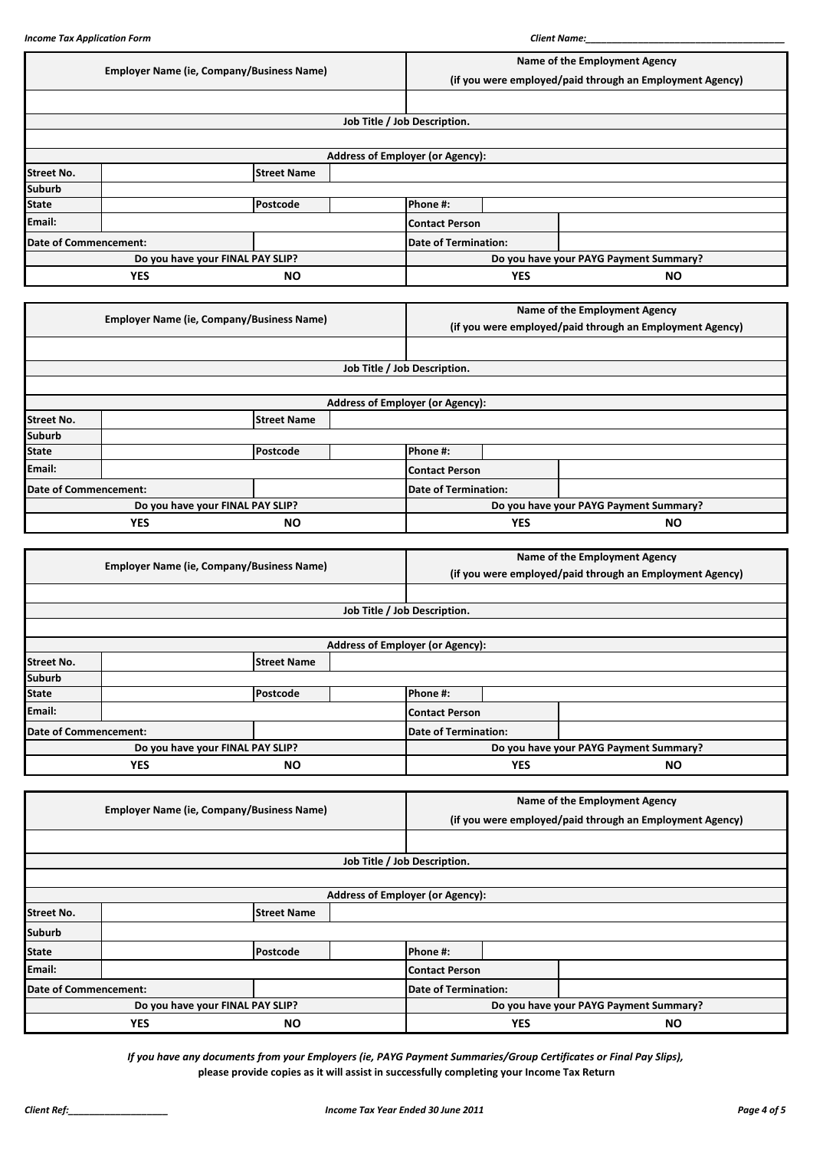|                              | <b>Employer Name (ie, Company/Business Name)</b> |                                                  |            |                                                          | Name of the Employment Agency |                                        |  |  |
|------------------------------|--------------------------------------------------|--------------------------------------------------|------------|----------------------------------------------------------|-------------------------------|----------------------------------------|--|--|
|                              |                                                  |                                                  |            | (if you were employed/paid through an Employment Agency) |                               |                                        |  |  |
|                              |                                                  |                                                  |            |                                                          |                               |                                        |  |  |
|                              |                                                  |                                                  |            | Job Title / Job Description.                             |                               |                                        |  |  |
|                              |                                                  |                                                  |            |                                                          |                               |                                        |  |  |
|                              |                                                  |                                                  |            | <b>Address of Employer (or Agency):</b>                  |                               |                                        |  |  |
| <b>Street No.</b>            | <b>Street Name</b>                               |                                                  |            |                                                          |                               |                                        |  |  |
| <b>Suburb</b>                |                                                  |                                                  |            |                                                          |                               |                                        |  |  |
| <b>State</b>                 |                                                  | Postcode                                         |            | Phone #:                                                 |                               |                                        |  |  |
| Email:                       |                                                  |                                                  |            | <b>Contact Person</b>                                    |                               |                                        |  |  |
| <b>Date of Commencement:</b> |                                                  |                                                  |            | <b>Date of Termination:</b>                              |                               |                                        |  |  |
|                              |                                                  | Do you have your FINAL PAY SLIP?                 |            | Do you have your PAYG Payment Summary?                   |                               |                                        |  |  |
|                              | <b>YES</b>                                       | <b>NO</b>                                        |            |                                                          | <b>YES</b>                    | <b>NO</b>                              |  |  |
|                              |                                                  |                                                  |            |                                                          |                               |                                        |  |  |
|                              |                                                  | <b>Employer Name (ie, Company/Business Name)</b> |            | Name of the Employment Agency                            |                               |                                        |  |  |
|                              |                                                  |                                                  |            | (if you were employed/paid through an Employment Agency) |                               |                                        |  |  |
|                              |                                                  |                                                  |            |                                                          |                               |                                        |  |  |
|                              |                                                  |                                                  |            | Job Title / Job Description.                             |                               |                                        |  |  |
|                              |                                                  |                                                  |            |                                                          |                               |                                        |  |  |
|                              |                                                  |                                                  |            | <b>Address of Employer (or Agency):</b>                  |                               |                                        |  |  |
| <b>Street No.</b>            |                                                  | <b>Street Name</b>                               |            |                                                          |                               |                                        |  |  |
| <b>Suburb</b>                |                                                  |                                                  |            |                                                          |                               |                                        |  |  |
| <b>State</b>                 |                                                  | Postcode                                         |            | Phone #:                                                 |                               |                                        |  |  |
| Email:                       |                                                  |                                                  |            | <b>Contact Person</b>                                    |                               |                                        |  |  |
| <b>Date of Commencement:</b> |                                                  |                                                  |            | <b>Date of Termination:</b>                              |                               |                                        |  |  |
|                              |                                                  | Do you have your FINAL PAY SLIP?                 |            |                                                          |                               | Do you have your PAYG Payment Summary? |  |  |
| <b>YES</b><br><b>NO</b>      |                                                  |                                                  | <b>YES</b> | <b>NO</b>                                                |                               |                                        |  |  |

|                                  | <b>Employer Name (ie, Company/Business Name)</b> |                    |                              | Name of the Employment Agency                            |  |  |
|----------------------------------|--------------------------------------------------|--------------------|------------------------------|----------------------------------------------------------|--|--|
|                                  |                                                  |                    |                              | (if you were employed/paid through an Employment Agency) |  |  |
|                                  |                                                  |                    |                              |                                                          |  |  |
|                                  |                                                  |                    | Job Title / Job Description. |                                                          |  |  |
|                                  |                                                  |                    |                              |                                                          |  |  |
|                                  |                                                  |                    |                              | <b>Address of Employer (or Agency):</b>                  |  |  |
| <b>Street No.</b>                |                                                  | <b>Street Name</b> |                              |                                                          |  |  |
| <b>Suburb</b>                    |                                                  |                    |                              |                                                          |  |  |
| <b>State</b>                     |                                                  | Postcode           |                              | <b>Phone #:</b>                                          |  |  |
| Email:                           |                                                  |                    |                              | <b>Contact Person</b>                                    |  |  |
|                                  | Date of Commencement:                            |                    |                              | <b>Date of Termination:</b>                              |  |  |
| Do you have your FINAL PAY SLIP? |                                                  |                    |                              | Do you have your PAYG Payment Summary?                   |  |  |
| <b>YES</b><br><b>NO</b>          |                                                  |                    | <b>YES</b>                   | <b>NO</b>                                                |  |  |

|                       |                                                  |                             |                                         | Name of the Employment Agency                            |  |  |
|-----------------------|--------------------------------------------------|-----------------------------|-----------------------------------------|----------------------------------------------------------|--|--|
|                       | <b>Employer Name (ie, Company/Business Name)</b> |                             |                                         | (if you were employed/paid through an Employment Agency) |  |  |
|                       |                                                  |                             |                                         |                                                          |  |  |
|                       | Job Title / Job Description.                     |                             |                                         |                                                          |  |  |
|                       |                                                  |                             |                                         |                                                          |  |  |
|                       |                                                  |                             | <b>Address of Employer (or Agency):</b> |                                                          |  |  |
| <b>Street No.</b>     |                                                  | <b>Street Name</b>          |                                         |                                                          |  |  |
| <b>Suburb</b>         |                                                  |                             |                                         |                                                          |  |  |
| <b>State</b>          |                                                  | Postcode                    |                                         | Phone #:                                                 |  |  |
| Email:                |                                                  |                             |                                         | <b>Contact Person</b>                                    |  |  |
| Date of Commencement: |                                                  | <b>Date of Termination:</b> |                                         |                                                          |  |  |
|                       | Do you have your FINAL PAY SLIP?                 |                             |                                         | Do you have your PAYG Payment Summary?                   |  |  |
| <b>YES</b><br>NO.     |                                                  |                             | <b>YES</b>                              | <b>NO</b>                                                |  |  |

*If you have any documents from your Employers (ie, PAYG Payment Summaries/Group Certificates or Final Pay Slips),* **please provide copies as it will assist in successfully completing your Income Tax Return**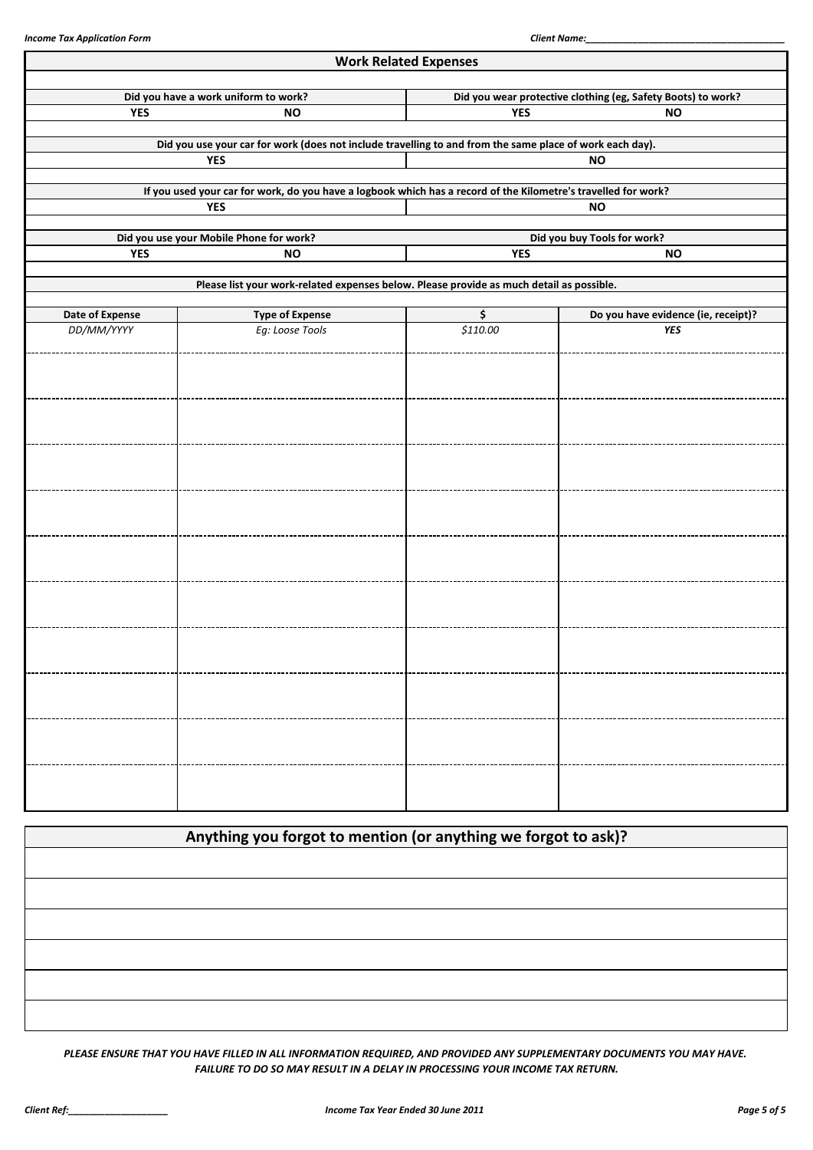|                 |                                                                                                                              | <b>Work Related Expenses</b> |                                                              |
|-----------------|------------------------------------------------------------------------------------------------------------------------------|------------------------------|--------------------------------------------------------------|
|                 | Did you have a work uniform to work?                                                                                         |                              | Did you wear protective clothing (eg, Safety Boots) to work? |
| <b>YES</b>      | <b>NO</b>                                                                                                                    | <b>YES</b>                   | <b>NO</b>                                                    |
|                 | Did you use your car for work (does not include travelling to and from the same place of work each day).                     |                              |                                                              |
|                 | <b>YES</b>                                                                                                                   |                              | <b>NO</b>                                                    |
|                 |                                                                                                                              |                              |                                                              |
|                 | If you used your car for work, do you have a logbook which has a record of the Kilometre's travelled for work?<br><b>YES</b> |                              | <b>NO</b>                                                    |
|                 |                                                                                                                              |                              |                                                              |
| <b>YES</b>      | Did you use your Mobile Phone for work?<br><b>NO</b>                                                                         | <b>YES</b>                   | Did you buy Tools for work?<br><b>NO</b>                     |
|                 |                                                                                                                              |                              |                                                              |
|                 | Please list your work-related expenses below. Please provide as much detail as possible.                                     |                              |                                                              |
| Date of Expense | <b>Type of Expense</b>                                                                                                       | \$                           | Do you have evidence (ie, receipt)?                          |
| DD/MM/YYYY      | Eg: Loose Tools                                                                                                              | \$110.00                     | <b>YES</b>                                                   |
|                 |                                                                                                                              |                              |                                                              |
|                 |                                                                                                                              |                              |                                                              |
|                 |                                                                                                                              |                              |                                                              |
|                 |                                                                                                                              |                              |                                                              |
|                 |                                                                                                                              |                              |                                                              |
|                 |                                                                                                                              |                              |                                                              |
|                 |                                                                                                                              |                              |                                                              |
|                 |                                                                                                                              |                              |                                                              |
|                 |                                                                                                                              |                              |                                                              |
|                 |                                                                                                                              |                              |                                                              |
|                 |                                                                                                                              |                              |                                                              |
|                 |                                                                                                                              |                              |                                                              |
|                 |                                                                                                                              |                              |                                                              |
|                 |                                                                                                                              |                              |                                                              |
|                 |                                                                                                                              |                              |                                                              |
|                 |                                                                                                                              |                              |                                                              |
|                 |                                                                                                                              |                              |                                                              |
|                 |                                                                                                                              |                              |                                                              |
|                 |                                                                                                                              |                              |                                                              |
|                 |                                                                                                                              |                              |                                                              |
|                 |                                                                                                                              |                              |                                                              |

| Anything you forgot to mention (or anything we forgot to ask)? |  |  |
|----------------------------------------------------------------|--|--|
|                                                                |  |  |
|                                                                |  |  |
|                                                                |  |  |
|                                                                |  |  |
|                                                                |  |  |
|                                                                |  |  |

*PLEASE ENSURE THAT YOU HAVE FILLED IN ALL INFORMATION REQUIRED, AND PROVIDED ANY SUPPLEMENTARY DOCUMENTS YOU MAY HAVE. FAILURE TO DO SO MAY RESULT IN A DELAY IN PROCESSING YOUR INCOME TAX RETURN.*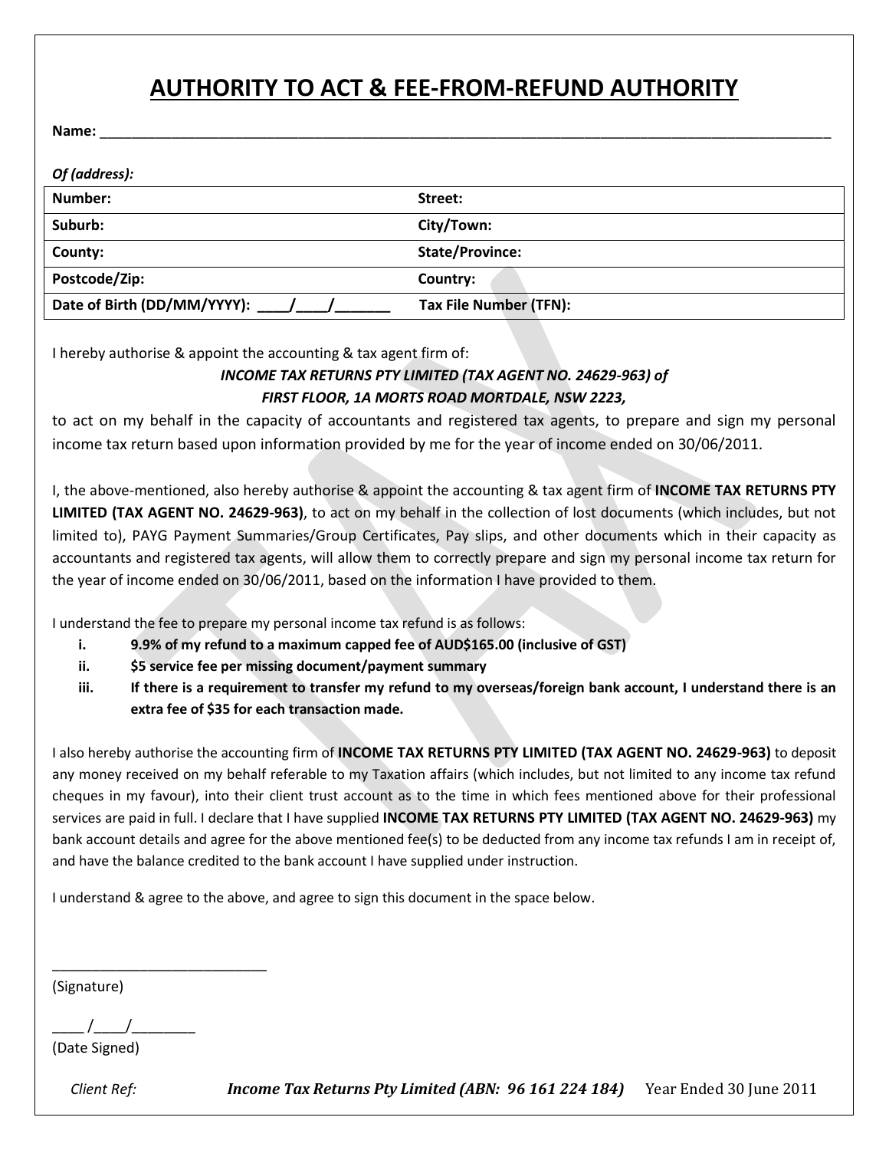# **AUTHORITY TO ACT & FEE-FROM-REFUND AUTHORITY**

**Name:** \_\_\_\_\_\_\_\_\_\_\_\_\_\_\_\_\_\_\_\_\_\_\_\_\_\_\_\_\_\_\_\_\_\_\_\_\_\_\_\_\_\_\_\_\_\_\_\_\_\_\_\_\_\_\_\_\_\_\_\_\_\_\_\_\_\_\_\_\_\_\_\_\_\_\_\_\_\_\_\_\_\_\_\_\_\_\_\_\_\_\_\_

| Of (address):                   |                        |
|---------------------------------|------------------------|
| Number:                         | Street:                |
| Suburb:                         | City/Town:             |
| County:                         | <b>State/Province:</b> |
| Postcode/Zip:                   | Country:               |
| Date of Birth (DD/MM/YYYY): / / | Tax File Number (TFN): |

I hereby authorise & appoint the accounting & tax agent firm of:

### *INCOME TAX RETURNS PTY LIMITED (TAX AGENT NO. 24629-963) of FIRST FLOOR, 1A MORTS ROAD MORTDALE, NSW 2223,*

to act on my behalf in the capacity of accountants and registered tax agents, to prepare and sign my personal income tax return based upon information provided by me for the year of income ended on 30/06/2011.

I, the above-mentioned, also hereby authorise & appoint the accounting & tax agent firm of **INCOME TAX RETURNS PTY LIMITED (TAX AGENT NO. 24629-963)**, to act on my behalf in the collection of lost documents (which includes, but not limited to), PAYG Payment Summaries/Group Certificates, Pay slips, and other documents which in their capacity as accountants and registered tax agents, will allow them to correctly prepare and sign my personal income tax return for the year of income ended on 30/06/2011, based on the information I have provided to them.

I understand the fee to prepare my personal income tax refund is as follows:

- **i. 9.9% of my refund to a maximum capped fee of AUD\$165.00 (inclusive of GST)**
- **ii. \$5 service fee per missing document/payment summary**
- **iii. If there is a requirement to transfer my refund to my overseas/foreign bank account, I understand there is an extra fee of \$35 for each transaction made.**

I also hereby authorise the accounting firm of **INCOME TAX RETURNS PTY LIMITED (TAX AGENT NO. 24629-963)** to deposit any money received on my behalf referable to my Taxation affairs (which includes, but not limited to any income tax refund cheques in my favour), into their client trust account as to the time in which fees mentioned above for their professional services are paid in full. I declare that I have supplied **INCOME TAX RETURNS PTY LIMITED (TAX AGENT NO. 24629-963)** my bank account details and agree for the above mentioned fee(s) to be deducted from any income tax refunds I am in receipt of, and have the balance credited to the bank account I have supplied under instruction.

I understand & agree to the above, and agree to sign this document in the space below.

(Signature)

 $\frac{1}{2}$  /

\_\_\_\_\_\_\_\_\_\_\_\_\_\_\_\_\_\_\_\_\_\_\_\_\_\_\_

(Date Signed)